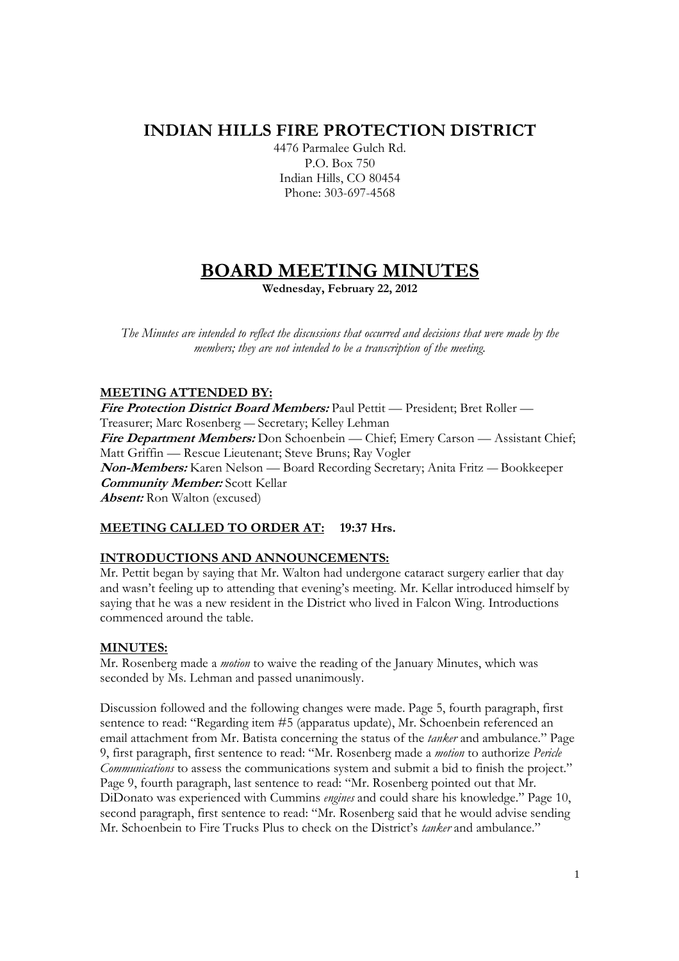# **INDIAN HILLS FIRE PROTECTION DISTRICT**

4476 Parmalee Gulch Rd. P.O. Box 750 Indian Hills, CO 80454 Phone: 303-697-4568

# **BOARD MEETING MINUTES**

**Wednesday, February 22, 2012** 

*The Minutes are intended to reflect the discussions that occurred and decisions that were made by the members; they are not intended to be a transcription of the meeting.* 

## **MEETING ATTENDED BY:**

**Fire Protection District Board Members:** Paul Pettit — President; Bret Roller — Treasurer; Marc Rosenberg — Secretary; Kelley Lehman **Fire Department Members:** Don Schoenbein — Chief; Emery Carson — Assistant Chief; Matt Griffin — Rescue Lieutenant; Steve Bruns; Ray Vogler **Non-Members:** Karen Nelson — Board Recording Secretary; Anita Fritz — Bookkeeper **Community Member:** Scott Kellar **Absent:** Ron Walton (excused)

## **MEETING CALLED TO ORDER AT: 19:37 Hrs.**

## **INTRODUCTIONS AND ANNOUNCEMENTS:**

Mr. Pettit began by saying that Mr. Walton had undergone cataract surgery earlier that day and wasn't feeling up to attending that evening's meeting. Mr. Kellar introduced himself by saying that he was a new resident in the District who lived in Falcon Wing. Introductions commenced around the table.

## **MINUTES:**

Mr. Rosenberg made a *motion* to waive the reading of the January Minutes, which was seconded by Ms. Lehman and passed unanimously.

Discussion followed and the following changes were made. Page 5, fourth paragraph, first sentence to read: "Regarding item #5 (apparatus update), Mr. Schoenbein referenced an email attachment from Mr. Batista concerning the status of the *tanker* and ambulance." Page 9, first paragraph, first sentence to read: "Mr. Rosenberg made a *motion* to authorize *Pericle Communications* to assess the communications system and submit a bid to finish the project." Page 9, fourth paragraph, last sentence to read: "Mr. Rosenberg pointed out that Mr. DiDonato was experienced with Cummins *engines* and could share his knowledge." Page 10, second paragraph, first sentence to read: "Mr. Rosenberg said that he would advise sending Mr. Schoenbein to Fire Trucks Plus to check on the District's *tanker* and ambulance."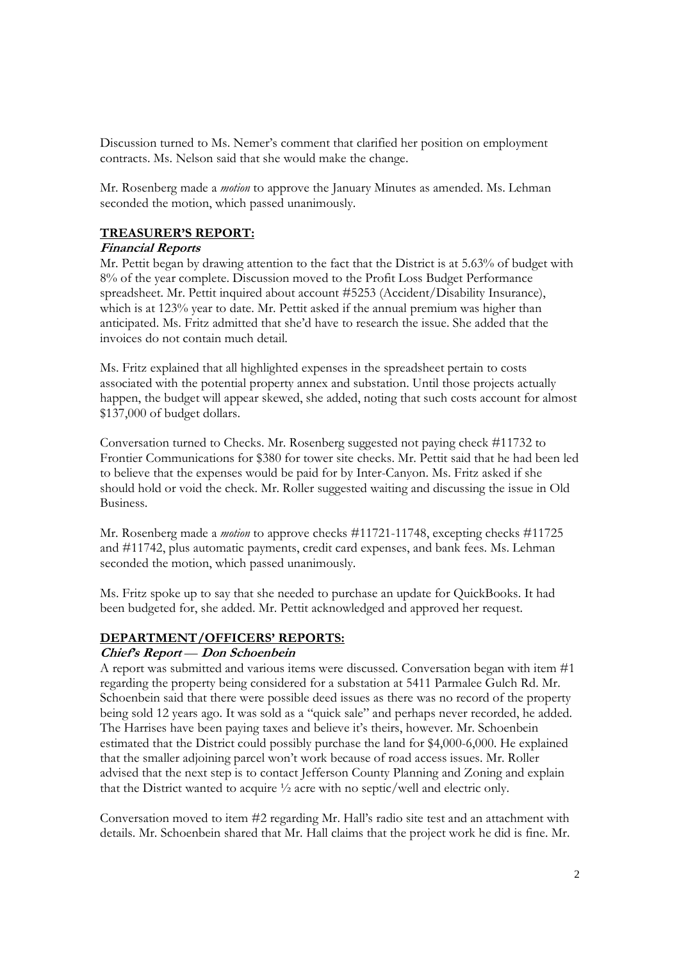Discussion turned to Ms. Nemer's comment that clarified her position on employment contracts. Ms. Nelson said that she would make the change.

Mr. Rosenberg made a *motion* to approve the January Minutes as amended. Ms. Lehman seconded the motion, which passed unanimously.

#### **TREASURER'S REPORT:**

#### **Financial Reports**

Mr. Pettit began by drawing attention to the fact that the District is at 5.63% of budget with 8% of the year complete. Discussion moved to the Profit Loss Budget Performance spreadsheet. Mr. Pettit inquired about account #5253 (Accident/Disability Insurance), which is at 123% year to date. Mr. Pettit asked if the annual premium was higher than anticipated. Ms. Fritz admitted that she'd have to research the issue. She added that the invoices do not contain much detail.

Ms. Fritz explained that all highlighted expenses in the spreadsheet pertain to costs associated with the potential property annex and substation. Until those projects actually happen, the budget will appear skewed, she added, noting that such costs account for almost \$137,000 of budget dollars.

Conversation turned to Checks. Mr. Rosenberg suggested not paying check #11732 to Frontier Communications for \$380 for tower site checks. Mr. Pettit said that he had been led to believe that the expenses would be paid for by Inter-Canyon. Ms. Fritz asked if she should hold or void the check. Mr. Roller suggested waiting and discussing the issue in Old Business.

Mr. Rosenberg made a *motion* to approve checks #11721-11748, excepting checks #11725 and #11742, plus automatic payments, credit card expenses, and bank fees. Ms. Lehman seconded the motion, which passed unanimously.

Ms. Fritz spoke up to say that she needed to purchase an update for QuickBooks. It had been budgeted for, she added. Mr. Pettit acknowledged and approved her request.

#### **DEPARTMENT/OFFICERS' REPORTS:**

#### **Chief's Report** — **Don Schoenbein**

A report was submitted and various items were discussed. Conversation began with item #1 regarding the property being considered for a substation at 5411 Parmalee Gulch Rd. Mr. Schoenbein said that there were possible deed issues as there was no record of the property being sold 12 years ago. It was sold as a "quick sale" and perhaps never recorded, he added. The Harrises have been paying taxes and believe it's theirs, however. Mr. Schoenbein estimated that the District could possibly purchase the land for \$4,000-6,000. He explained that the smaller adjoining parcel won't work because of road access issues. Mr. Roller advised that the next step is to contact Jefferson County Planning and Zoning and explain that the District wanted to acquire ½ acre with no septic/well and electric only.

Conversation moved to item #2 regarding Mr. Hall's radio site test and an attachment with details. Mr. Schoenbein shared that Mr. Hall claims that the project work he did is fine. Mr.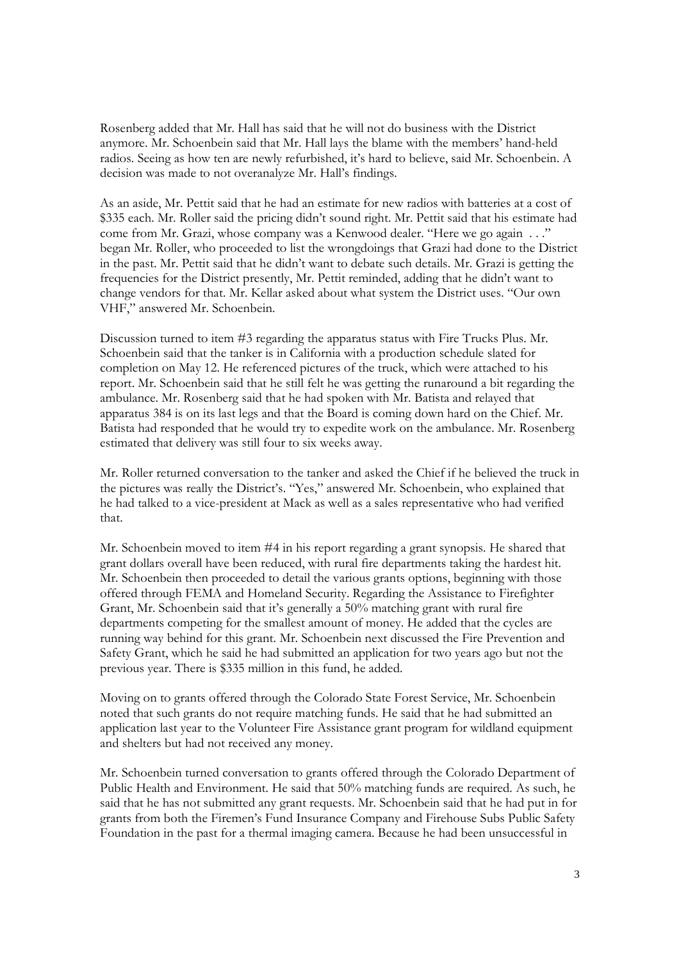Rosenberg added that Mr. Hall has said that he will not do business with the District anymore. Mr. Schoenbein said that Mr. Hall lays the blame with the members' hand-held radios. Seeing as how ten are newly refurbished, it's hard to believe, said Mr. Schoenbein. A decision was made to not overanalyze Mr. Hall's findings.

As an aside, Mr. Pettit said that he had an estimate for new radios with batteries at a cost of \$335 each. Mr. Roller said the pricing didn't sound right. Mr. Pettit said that his estimate had come from Mr. Grazi, whose company was a Kenwood dealer. "Here we go again . . ." began Mr. Roller, who proceeded to list the wrongdoings that Grazi had done to the District in the past. Mr. Pettit said that he didn't want to debate such details. Mr. Grazi is getting the frequencies for the District presently, Mr. Pettit reminded, adding that he didn't want to change vendors for that. Mr. Kellar asked about what system the District uses. "Our own VHF," answered Mr. Schoenbein.

Discussion turned to item #3 regarding the apparatus status with Fire Trucks Plus. Mr. Schoenbein said that the tanker is in California with a production schedule slated for completion on May 12. He referenced pictures of the truck, which were attached to his report. Mr. Schoenbein said that he still felt he was getting the runaround a bit regarding the ambulance. Mr. Rosenberg said that he had spoken with Mr. Batista and relayed that apparatus 384 is on its last legs and that the Board is coming down hard on the Chief. Mr. Batista had responded that he would try to expedite work on the ambulance. Mr. Rosenberg estimated that delivery was still four to six weeks away.

Mr. Roller returned conversation to the tanker and asked the Chief if he believed the truck in the pictures was really the District's. "Yes," answered Mr. Schoenbein, who explained that he had talked to a vice-president at Mack as well as a sales representative who had verified that.

Mr. Schoenbein moved to item #4 in his report regarding a grant synopsis. He shared that grant dollars overall have been reduced, with rural fire departments taking the hardest hit. Mr. Schoenbein then proceeded to detail the various grants options, beginning with those offered through FEMA and Homeland Security. Regarding the Assistance to Firefighter Grant, Mr. Schoenbein said that it's generally a 50% matching grant with rural fire departments competing for the smallest amount of money. He added that the cycles are running way behind for this grant. Mr. Schoenbein next discussed the Fire Prevention and Safety Grant, which he said he had submitted an application for two years ago but not the previous year. There is \$335 million in this fund, he added.

Moving on to grants offered through the Colorado State Forest Service, Mr. Schoenbein noted that such grants do not require matching funds. He said that he had submitted an application last year to the Volunteer Fire Assistance grant program for wildland equipment and shelters but had not received any money.

Mr. Schoenbein turned conversation to grants offered through the Colorado Department of Public Health and Environment. He said that 50% matching funds are required. As such, he said that he has not submitted any grant requests. Mr. Schoenbein said that he had put in for grants from both the Firemen's Fund Insurance Company and Firehouse Subs Public Safety Foundation in the past for a thermal imaging camera. Because he had been unsuccessful in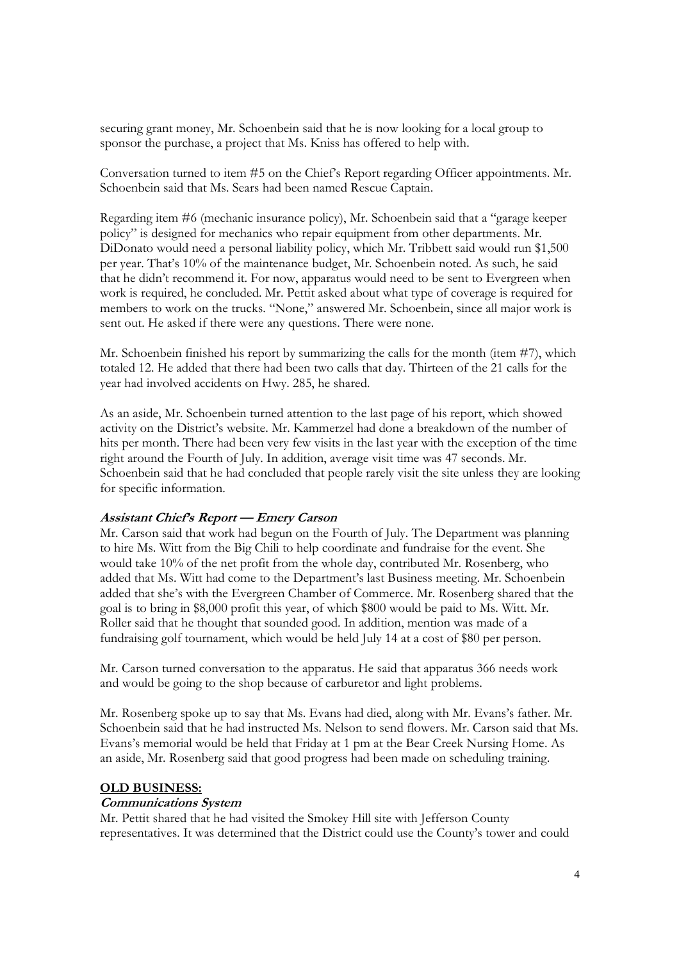securing grant money, Mr. Schoenbein said that he is now looking for a local group to sponsor the purchase, a project that Ms. Kniss has offered to help with.

Conversation turned to item #5 on the Chief's Report regarding Officer appointments. Mr. Schoenbein said that Ms. Sears had been named Rescue Captain.

Regarding item #6 (mechanic insurance policy), Mr. Schoenbein said that a "garage keeper policy" is designed for mechanics who repair equipment from other departments. Mr. DiDonato would need a personal liability policy, which Mr. Tribbett said would run \$1,500 per year. That's 10% of the maintenance budget, Mr. Schoenbein noted. As such, he said that he didn't recommend it. For now, apparatus would need to be sent to Evergreen when work is required, he concluded. Mr. Pettit asked about what type of coverage is required for members to work on the trucks. "None," answered Mr. Schoenbein, since all major work is sent out. He asked if there were any questions. There were none.

Mr. Schoenbein finished his report by summarizing the calls for the month (item  $#7$ ), which totaled 12. He added that there had been two calls that day. Thirteen of the 21 calls for the year had involved accidents on Hwy. 285, he shared.

As an aside, Mr. Schoenbein turned attention to the last page of his report, which showed activity on the District's website. Mr. Kammerzel had done a breakdown of the number of hits per month. There had been very few visits in the last year with the exception of the time right around the Fourth of July. In addition, average visit time was 47 seconds. Mr. Schoenbein said that he had concluded that people rarely visit the site unless they are looking for specific information.

#### **Assistant Chief's Report — Emery Carson**

Mr. Carson said that work had begun on the Fourth of July. The Department was planning to hire Ms. Witt from the Big Chili to help coordinate and fundraise for the event. She would take 10% of the net profit from the whole day, contributed Mr. Rosenberg, who added that Ms. Witt had come to the Department's last Business meeting. Mr. Schoenbein added that she's with the Evergreen Chamber of Commerce. Mr. Rosenberg shared that the goal is to bring in \$8,000 profit this year, of which \$800 would be paid to Ms. Witt. Mr. Roller said that he thought that sounded good. In addition, mention was made of a fundraising golf tournament, which would be held July 14 at a cost of \$80 per person.

Mr. Carson turned conversation to the apparatus. He said that apparatus 366 needs work and would be going to the shop because of carburetor and light problems.

Mr. Rosenberg spoke up to say that Ms. Evans had died, along with Mr. Evans's father. Mr. Schoenbein said that he had instructed Ms. Nelson to send flowers. Mr. Carson said that Ms. Evans's memorial would be held that Friday at 1 pm at the Bear Creek Nursing Home. As an aside, Mr. Rosenberg said that good progress had been made on scheduling training.

#### **OLD BUSINESS:**

#### **Communications System**

Mr. Pettit shared that he had visited the Smokey Hill site with Jefferson County representatives. It was determined that the District could use the County's tower and could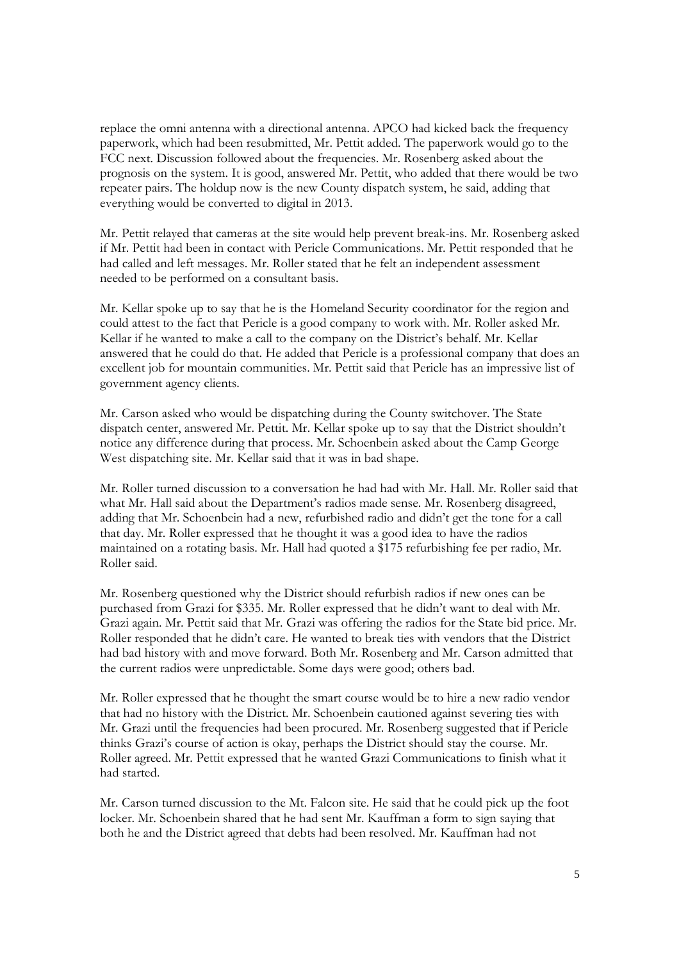replace the omni antenna with a directional antenna. APCO had kicked back the frequency paperwork, which had been resubmitted, Mr. Pettit added. The paperwork would go to the FCC next. Discussion followed about the frequencies. Mr. Rosenberg asked about the prognosis on the system. It is good, answered Mr. Pettit, who added that there would be two repeater pairs. The holdup now is the new County dispatch system, he said, adding that everything would be converted to digital in 2013.

Mr. Pettit relayed that cameras at the site would help prevent break-ins. Mr. Rosenberg asked if Mr. Pettit had been in contact with Pericle Communications. Mr. Pettit responded that he had called and left messages. Mr. Roller stated that he felt an independent assessment needed to be performed on a consultant basis.

Mr. Kellar spoke up to say that he is the Homeland Security coordinator for the region and could attest to the fact that Pericle is a good company to work with. Mr. Roller asked Mr. Kellar if he wanted to make a call to the company on the District's behalf. Mr. Kellar answered that he could do that. He added that Pericle is a professional company that does an excellent job for mountain communities. Mr. Pettit said that Pericle has an impressive list of government agency clients.

Mr. Carson asked who would be dispatching during the County switchover. The State dispatch center, answered Mr. Pettit. Mr. Kellar spoke up to say that the District shouldn't notice any difference during that process. Mr. Schoenbein asked about the Camp George West dispatching site. Mr. Kellar said that it was in bad shape.

Mr. Roller turned discussion to a conversation he had had with Mr. Hall. Mr. Roller said that what Mr. Hall said about the Department's radios made sense. Mr. Rosenberg disagreed, adding that Mr. Schoenbein had a new, refurbished radio and didn't get the tone for a call that day. Mr. Roller expressed that he thought it was a good idea to have the radios maintained on a rotating basis. Mr. Hall had quoted a \$175 refurbishing fee per radio, Mr. Roller said.

Mr. Rosenberg questioned why the District should refurbish radios if new ones can be purchased from Grazi for \$335. Mr. Roller expressed that he didn't want to deal with Mr. Grazi again. Mr. Pettit said that Mr. Grazi was offering the radios for the State bid price. Mr. Roller responded that he didn't care. He wanted to break ties with vendors that the District had bad history with and move forward. Both Mr. Rosenberg and Mr. Carson admitted that the current radios were unpredictable. Some days were good; others bad.

Mr. Roller expressed that he thought the smart course would be to hire a new radio vendor that had no history with the District. Mr. Schoenbein cautioned against severing ties with Mr. Grazi until the frequencies had been procured. Mr. Rosenberg suggested that if Pericle thinks Grazi's course of action is okay, perhaps the District should stay the course. Mr. Roller agreed. Mr. Pettit expressed that he wanted Grazi Communications to finish what it had started.

Mr. Carson turned discussion to the Mt. Falcon site. He said that he could pick up the foot locker. Mr. Schoenbein shared that he had sent Mr. Kauffman a form to sign saying that both he and the District agreed that debts had been resolved. Mr. Kauffman had not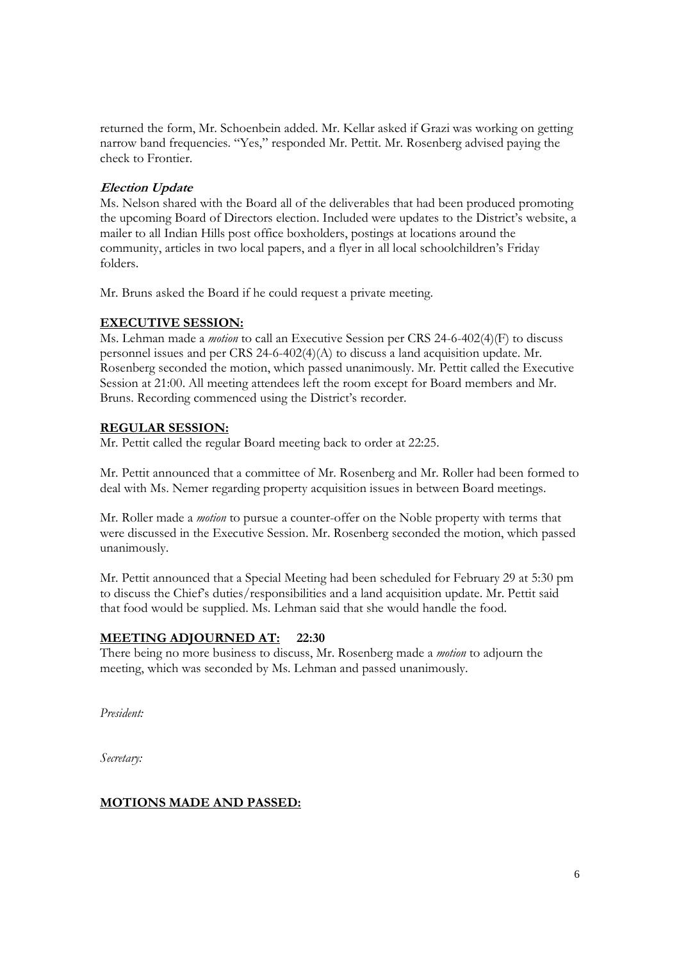returned the form, Mr. Schoenbein added. Mr. Kellar asked if Grazi was working on getting narrow band frequencies. "Yes," responded Mr. Pettit. Mr. Rosenberg advised paying the check to Frontier.

## **Election Update**

Ms. Nelson shared with the Board all of the deliverables that had been produced promoting the upcoming Board of Directors election. Included were updates to the District's website, a mailer to all Indian Hills post office boxholders, postings at locations around the community, articles in two local papers, and a flyer in all local schoolchildren's Friday folders.

Mr. Bruns asked the Board if he could request a private meeting.

### **EXECUTIVE SESSION:**

Ms. Lehman made a *motion* to call an Executive Session per CRS 24-6-402(4)(F) to discuss personnel issues and per CRS 24-6-402(4)(A) to discuss a land acquisition update. Mr. Rosenberg seconded the motion, which passed unanimously. Mr. Pettit called the Executive Session at 21:00. All meeting attendees left the room except for Board members and Mr. Bruns. Recording commenced using the District's recorder.

### **REGULAR SESSION:**

Mr. Pettit called the regular Board meeting back to order at 22:25.

Mr. Pettit announced that a committee of Mr. Rosenberg and Mr. Roller had been formed to deal with Ms. Nemer regarding property acquisition issues in between Board meetings.

Mr. Roller made a *motion* to pursue a counter-offer on the Noble property with terms that were discussed in the Executive Session. Mr. Rosenberg seconded the motion, which passed unanimously.

Mr. Pettit announced that a Special Meeting had been scheduled for February 29 at 5:30 pm to discuss the Chief's duties/responsibilities and a land acquisition update. Mr. Pettit said that food would be supplied. Ms. Lehman said that she would handle the food.

#### **MEETING ADJOURNED AT: 22:30**

There being no more business to discuss, Mr. Rosenberg made a *motion* to adjourn the meeting, which was seconded by Ms. Lehman and passed unanimously.

*President:* 

*Secretary:* 

#### **MOTIONS MADE AND PASSED:**